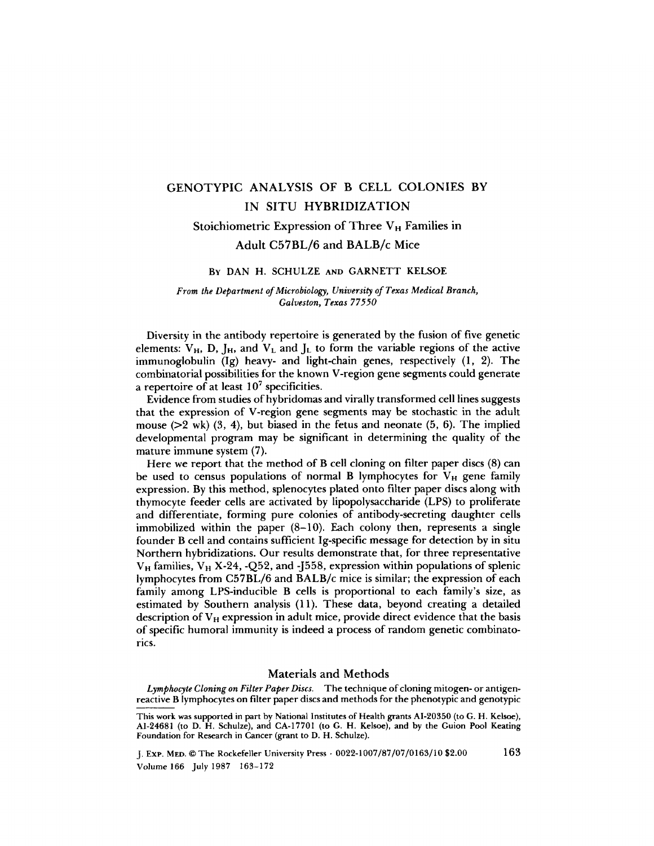# GENOTYPIC ANALYSIS OF B CELL COLONIES BY IN SITU HYBRIDIZATION

Stoichiometric Expression of Three  $V_H$  Families in

## Adult C57BL/6 and BALB/c Mice

## By DAN H. SCHULZE AND GARNETT KELSOE

#### From the Department of Microbiology, University of Texas Medical Branch, Galveston, Texas 77550

Diversity in the antibody repertoire is generated by the fusion of five genetic elements:  $V_H$ , D, J<sub>H</sub>, and  $V_L$  and J<sub>L</sub> to form the variable regions of the active immunoglobulin  $(Ig)$  heavy- and light-chain genes, respectively  $(1, 2)$ . The combinatorial possibilities for the known V-region gene segments could generate a repertoire of at least  $10<sup>7</sup>$  specificities.

Evidence from studies of hybridomas and virally transformed cell lines suggests that the expression of V-region gene segments may be stochastic in the adult mouse  $(22 \text{ wk})$  (3, 4), but biased in the fetus and neonate (5, 6). The implied developmental program may be significant in determining the quality of the mature immune system  $(7)$ .

Here we report that the method of B cell cloning on filter paper discs (8) can be used to census populations of normal B lymphocytes for  $V_H$  gene family expression. By this method, splenocytes plated onto filter paper discs along with thymocyte feeder cells are activated by lipopolysaccharide (LPS) to proliferate and differentiate, forming pure colonies of antibody-secreting daughter cells immobilized within the paper  $(8-10)$ . Each colony then, represents a single founder B cell and contains sufficient Ig-specific message for detection by in situ Northern hybridizations. Our results demonstrate that, for three representative  $V_H$  families,  $V_H$  X-24, -Q52, and -J558, expression within populations of splenic lymphocytes from C57BL/6 and BALB/c mice is similar ; the expression of each family among LPS-inducible B cells is proportional to each family's size, as estimated by Southern analysis (11). These data, beyond creating a detailed description of  $V_H$  expression in adult mice, provide direct evidence that the basis of specific humoral immunity is indeed a process of random genetic combinatorics.

#### Materials and Methods

Lymphocyte Cloning on Filter Paper Discs. The technique of cloning mitogen- or antigenreactive B lymphocytes on filter paper discs and methods for the phenotypic and genotypic

This work was supported in part by National Institutes of Health grants AI-20350 (to G. H. Kelsoe), AI-24681 (to D. H. Schulze), and CA-17701 (to G. H. Kelsoe), and by the Guion Pool Keating Foundation for Research in Cancer (grant to D. H. Schulze).

Volume 166 July 1987 163-172 J. Exp. Men. ©The Rockefeller University Press - 0022-1007/87/07/0163/10 \$2.00 <sup>163</sup>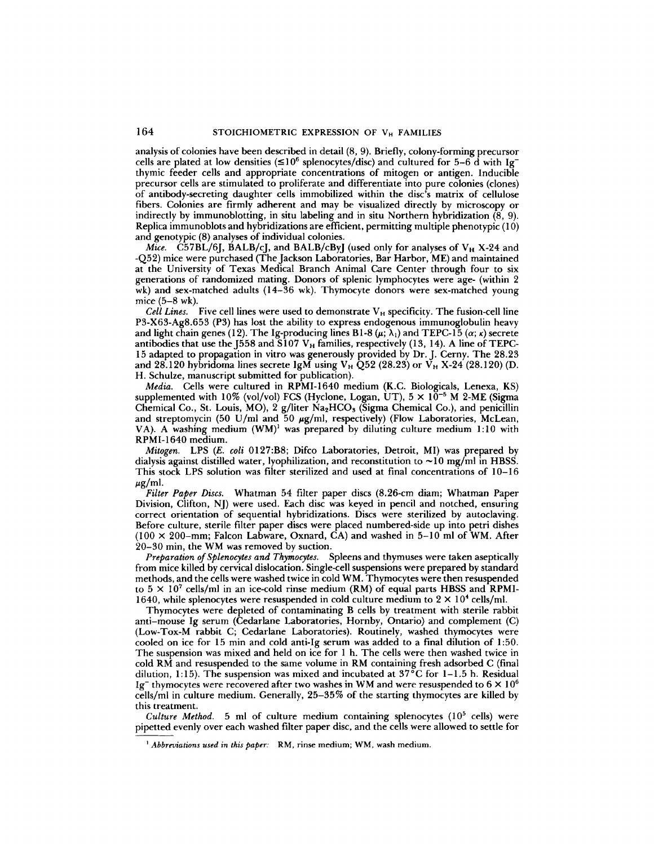analysis of colonies have been described in detail (8, 9) . Briefly, colony-forming precursor cells are plated at low densities ( $\leq 10^6$  splenocytes/disc) and cultured for 5-6 d with Ig thymic feeder cells and appropriate concentrations of mitogen or antigen. Inducible precursor cells are stimulated to proliferate and differentiate into pure colonies (clones) of antibody-secreting daughter cells immobilized within the disc's matrix of cellulose fibers . Colonies are firmly adherent and may be visualized directly by microscopy or indirectly by immunoblotting, in situ labeling and in situ Northern hybridization (8, 9). Replica immunoblots and hybridizations are efficient, permitting multiple phenotypic (10) and genotypic (8) analyses of individual colonies.

Mice. C57BL/6J, BALB/cJ, and BALB/cByJ (used only for analyses of  $V_H$  X-24 and -Q52) mice were purchased (The Jackson Laboratories, Bar Harbor, ME) and maintained at the University of Texas Medical Branch Animal Care Center through four to six generations of randomized mating. Donors of splenic lymphocytes were age- (within 2 wk) and sex-matched adults (14-36 wk). Thymocyte donors were sex-matched young mice  $(5-8 \text{ wk})$ .

Cell Lines. Five cell lines were used to demonstrate  $V_H$  specificity. The fusion-cell line P3-X63-Ag8.653 (P3) has lost the ability to express endogenous immunoglobulin heavy and light chain genes (12). The Ig-producing lines B1-8 ( $\mu$ ;  $\lambda_1$ ) and TEPC-15 ( $\alpha$ ;  $\kappa$ ) secrete antibodies that use the J558 and  $\overline{S107}$  V<sub>H</sub> families, respectively (13, 14). A line of TEPC-15 adapted to propagation in vitro was generously provided by Dr. J. Cerny. The 28.23 and 28.120 hybridoma lines secrete 1gM using  $V_H$  Q52 (28.23) or  $V_H$  X-24 (28.120) (D. H. Schulze, manuscript submitted for publication).

Media. Cells were cultured in RPMI-1640 medium (K.C. Biologicals, Lenexa, KS) supplemented with 10% (vol/vol) FCS (Hyclone, Logan, UT),  $5 \times 10^{-5}$  M 2-ME (Sigma Chemical Co., St. Louis, MO), <sup>2</sup> g/liter Na2 HCOs (Sigma Chemical Co.), and penicillin and streptomycin (50 U/ml and 50  $\mu$ g/ml, respectively) (Flow Laboratories, McLean, VA). A washing medium (WM)' was prepared by diluting culture medium <sup>1</sup> :10 with RPMI-1640 medium.

Mitogen. LPS (E. coli 0127:B8; Difco Laboratories, Detroit, MI) was prepared by dialysis against distilled water, lyophilization, and reconstitution to  $\sim 10$  mg/ml in HBSS. This stock LPS solution was filter sterilized and used at final concentrations of 10-16  $\mu$ g/ml.

Filter Paper Discs. Whatman 54 filter paper discs (8.26-cm diam; Whatman Paper Division, Clifton, NJ) were used. Each disc was keyed in pencil and notched, ensuring correct orientation of sequential hybridizations . Discs were sterilized by autoclaving . Before culture, sterile filter paper discs were placed numbered-side up into petri dishes  $(100 \times 200$ -mm; Falcon Labware, Oxnard, CA) and washed in 5-10 ml of WM. After 20-30 min, the WM was removed by suction.

Preparation of Splenocytes and Thymocytes. Spleens and thymuses were taken aseptically from mice killed by cervical dislocation . Single-cell suspensions were prepared by standard methods, and the cells were washed twice in cold WM. Thymocytes were then resuspended to  $5 \times 10^7$  cells/ml in an ice-cold rinse medium (RM) of equal parts HBSS and RPMI-1640, while splenocytes were resuspended in cold culture medium to  $2 \times 10^4$  cells/ml.

Thymocytes were depleted of contaminating B cells by treatment with sterile rabbit anti-mouse Ig serum (Cedarlane Laboratories, Hornby, Ontario) and complement (C) (Low-Tox-M rabbit C; Cedarlane Laboratories) . Routinely, washed thymocytes were cooled on ice for 15 min and cold anti-Ig serum was added to a final dilution of <sup>1</sup> :50. The suspension was mixed and held on ice for <sup>1</sup> h. The cells were then washed twice in cold RM and resuspended to the same volume in RM containing fresh adsorbed C (final dilution, 1:15). The suspension was mixed and incubated at  $37^{\circ}$ C for 1–1.5 h. Residual Ig<sup>-</sup> thymocytes were recovered after two washes in WM and were resuspended to  $6 \times 10^6$ cells/ml in culture medium. Generally, 25-35% of the starting thymocytes are killed by this treatment.

Culture Method. 5 ml of culture medium containing splenocytes  $(10^5 \text{ cells})$  were pipetted evenly over each washed filter paper disc, and the cells were allowed to settle for

 $<sup>1</sup> Abbreviations used in this paper: RM, rinse medium; WM, wash medium.$ </sup>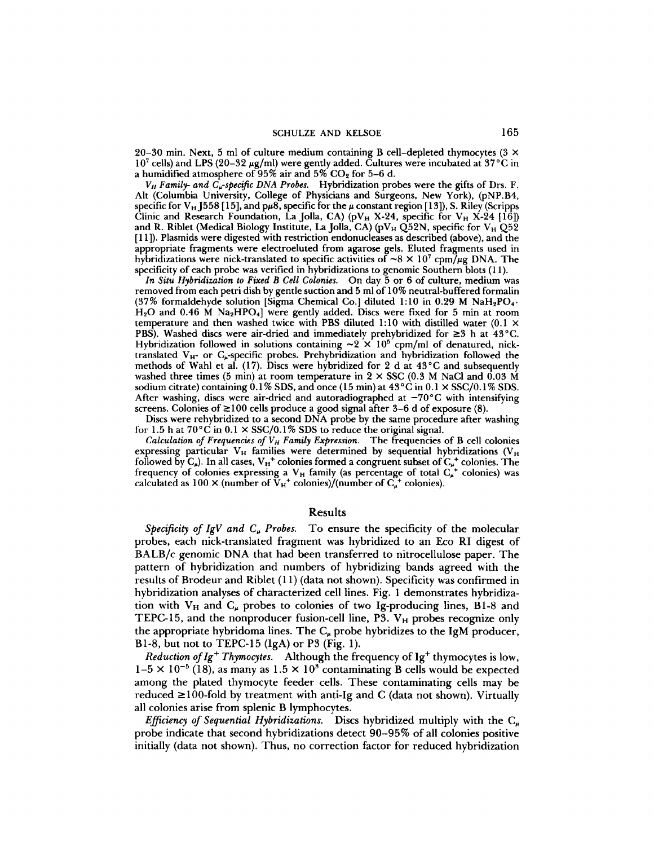20-30 min. Next, 5 ml of culture medium containing B cell-depleted thymocytes ( $3 \times$ 10<sup>7</sup> cells) and LPS (20–32  $\mu$ g/ml) were gently added. Cultures were incubated at 37 °C in a humidified atmosphere of 95% air and 5%  $CO<sub>2</sub>$  for 5–6 d.

 $V_H$  Family- and  $C_{\mu}$ -specific DNA Probes. Hybridization probes were the gifts of Drs. F. Alt (Columbia University, College of Physicians and Surgeons, New York), (pNP.B4, specific for  $V_H$  J558 [15], and p $\mu$ 8, specific for the  $\mu$  constant region [13]), S. Riley (Scripps Clinic and Research Foundation, La Jolla, CA) ( $pV_H$  X-24, specific for  $V_H$  X-24 [16]) and R. Riblet (Medical Biology Institute, La Jolla, CA) (pV<sub>H</sub> Q52N, specific for V<sub>H</sub> Q52 [I <sup>1</sup> ]) . Plasmids were digested with restriction endonucleases as described (above), and the appropriate fragments were electroeluted from agarose gels . Eluted fragments used in hybridizations were nick-translated to specific activities of  $\sim 8 \times 10^7$  cpm/ $\mu$ g DNA. The specificity of each probe was verified in hybridizations to genomic Southern blots (11) .

In Situ Hybridization to Fixed B Cell Colonies. On day 5 or 6 of culture, medium was removed from each petri dish by gentle suction and 5 ml of 10% neutral-buffered formalin  $(37\%$  formaldehyde solution [Sigma Chemical Co.] diluted 1:10 in 0.29 M NaH<sub>2</sub>PO<sub>4</sub>.  $H_2O$  and 0.46 M Na<sub>2</sub>HPO<sub>4</sub>] were gently added. Discs were fixed for 5 min at room temperature and then washed twice with PBS diluted 1:10 with distilled water (0.1  $\times$ PBS). Washed discs were air-dried and immediately prehybridized for  $\geq 3$  h at 43°C.<br>Hybridization followed in solutions containing  $\sim 2 \times 10^5$  cpm/ml of denatured, nicktranslated  $V_{H}$  or  $C_{\mu}$ -specific probes. Prehybridization and hybridization followed the methods of Wahl et al. (17). Discs were hybridized for 2 d at 43°C and subsequently washed three times (5 min) at room temperature in  $2 \times SSC$  (0.3 M NaCl and 0.03 M sodium citrate) containing  $0.1\%$  SDS, and once (15 min) at  $43^{\circ}$ C in  $0.1 \times$  SSC/0.1% SDS. After washing, discs were air-dried and autoradiographed at  $-70^{\circ}$ C with intensifying screens. Colonies of  $\geq 100$  cells produce a good signal after 3–6 d of exposure (8).

Discs were rehybridized to a second DNA probe by the same procedure after washing for 1.5 h at  $70^{\circ}$ C in 0.1  $\times$  SSC/0.1% SDS to reduce the original signal.

Calculation of Frequencies of  $V_H$  Family Expression. The frequencies of B cell colonies expressing particular  $V_H$  families were determined by sequential hybridizations ( $V_H$ followed by  $C_{\mu}$ ). In all cases,  $V_H^+$  colonies formed a congruent subset of  $C_{\mu}^+$  colonies. The frequency of colonies expressing a  $V_H$  family (as percentage of total  $C_{\mu}$ <sup>+</sup> colonies) was calculated as 100  $\times$  (number of  $\tilde{V}_{H}^{+}$  colonies)/(number of  $C_{\mu}^{+}$  colonies).

#### Results

Specificity of IgV and  $C_{\mu}$  Probes. To ensure the specificity of the molecular probes, each nick-translated fragment was hybridized to an Eco RI digest of BALB/c genomic DNA that had been transferred to nitrocellulose paper. The pattern of hybridization and numbers of hybridizing bands agreed with the results of Brodeur and Riblet (11) (data not shown). Specificity was confirmed in hybridization analyses of characterized cell lines. Fig. <sup>1</sup> demonstrates hybridization with  $V_H$  and  $C_\mu$  probes to colonies of two Ig-producing lines, B1-8 and TEPC-15, and the nonproducer fusion-cell line, P3.  $V_H$  probes recognize only the appropriate hybridoma lines. The  $C_{\mu}$  probe hybridizes to the IgM producer, B1-8, but not to TEPC-15  $(IgA)$  or P3 (Fig. 1).

Reduction of  $Ig^+$  Thymocytes. Although the frequency of  $Ig^+$  thymocytes is low,  $1-5 \times 10^{-5}$  (18), as many as  $1.5 \times 10^{3}$  contaminating B cells would be expected among the plated thymocyte feeder cells . These contaminating cells may be reduced  $\geq 100$ -fold by treatment with anti-Ig and C (data not shown). Virtually all colonies arise from splenic B lymphocytes.

Efficiency of Sequential Hybridizations. Discs hybridized multiply with the  $C_{\mu}$ probe indicate that second hybridizations detect 90-95% of all colonies positive initially (data not shown) . Thus, no correction factor for reduced hybridization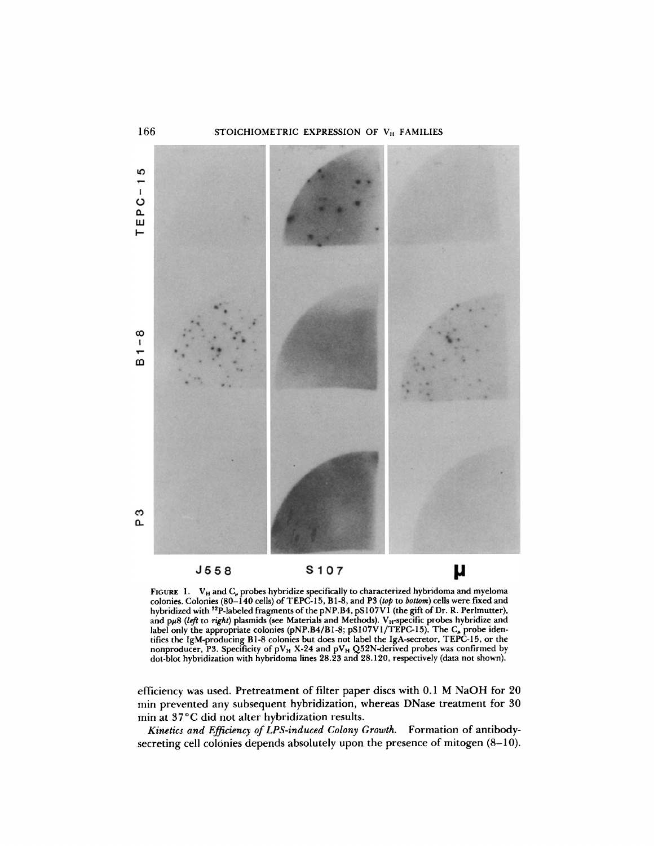

FIGURE 1.  $V_H$  and  $C_\mu$  probes hybridize specifically to characterized hybridoma and myeloma colonies. Colonies (80–140 cells) of TEPC-15, B1-8, and P3 (top to bottom) cells were fixed and hybridized with <sup>32</sup>P-labeled fragments of the pNP.B4, pS107V1 (the gift of Dr. R. Perlmutter) and pu8 (left to right) plasmids (see Materials and Methods).  $V_H$ -specific probes hybridize and label only the appropriate colonies (pNP.B4/BI-8; pS107V1/TEPC-15). The C<sub>#</sub> probe identifies the IgM-producing B1-8 colonies but does not label the IgA-secretor, TEPC-15, or the nonproducer, P3. Specificity of pV<sub>H</sub> X-24 and pV<sub>H</sub> Q52N-derived probes was confirmed by<br>dot-blot hybridization with hybridoma lines 28.23 and 28.120, respectively (data not shown).

efficiency was used. Pretreatment of filter paper discs with 0.1 M NaOH for 20 min prevented any subsequent hybridization, whereas DNase treatment for 30 min at 37°C did not alter hybridization results.

Kinetics and Efficiency of LPS-induced Colony Growth. Formation of antibodysecreting cell colonies depends absolutely upon the presence of mitogen (8–10).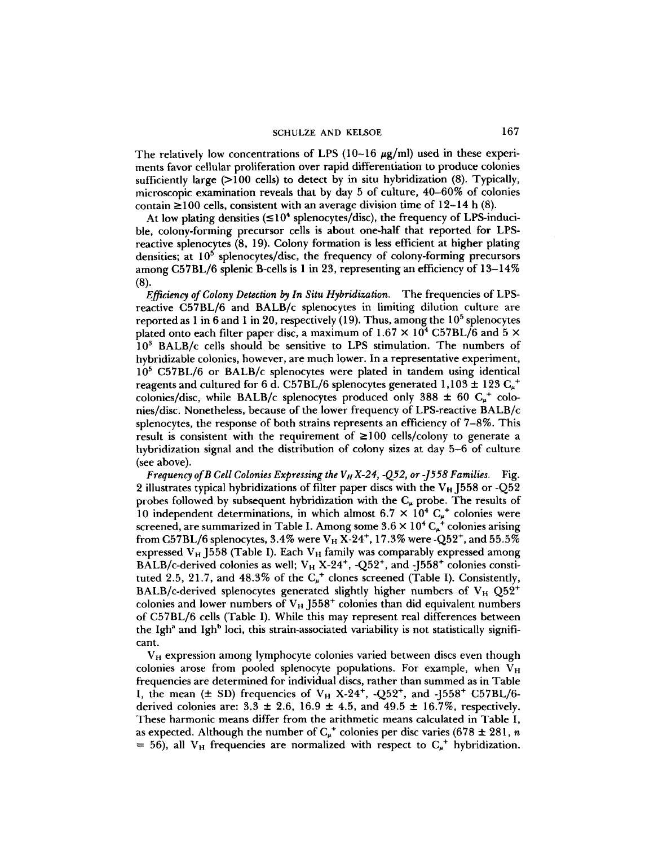# SCHULZE AND KELSOE 167

The relatively low concentrations of LPS  $(10-16 \mu g/ml)$  used in these experiments favor cellular proliferation over rapid differentiation to produce colonies sufficiently large (>100 cells) to detect by in situ hybridization (8). Typically, microscopic examination reveals that by day <sup>5</sup> of culture, 40-60% of colonies contain  $\geq$ 100 cells, consistent with an average division time of 12-14 h (8).

At low plating densities  $(\leq 10^4$  splenocytes/disc), the frequency of LPS-inducible, colony-forming precursor cells is about one-half that reported for LPSreactive splenocytes (8, 19). Colony formation is less efficient at higher plating densities; at  $10^5$  splenocytes/disc, the frequency of colony-forming precursors among C57BL/6 splenic B-cells is <sup>1</sup> in 23, representing an efficiency of 13-14% (8).

Efficiency of Colony Detection by In Situ Hybridization. The frequencies of LPSreactive C57BL/6 and BALB/c splenocytes in limiting dilution culture are reported as 1 in 6 and 1 in 20, respectively (19). Thus, among the  $10<sup>5</sup>$  splenocytes plated onto each filter paper disc, a maximum of  $1.67 \times 10^4$  C57BL/6 and 5  $\times$  $10<sup>3</sup>$  BALB/c cells should be sensitive to LPS stimulation. The numbers of hybridizable colonies, however, are much lower. In a representative experiment,  $10<sup>5</sup>$  C57BL/6 or BALB/c splenocytes were plated in tandem using identical reagents and cultured for 6 d. C57BL/6 splenocytes generated  $1,103 \pm 123$   $C_{\mu}^+$ colonies/disc, while BALB/c splenocytes produced only 388  $\pm$  60  $C_{\mu}$ <sup>+</sup> colonies/disc . Nonetheless, because of the lower frequency of LPS-reactive BALB/c splenocytes, the response of both strains represents an efficiency of 7-8%. This result is consistent with the requirement of  $\geq 100$  cells/colony to generate a hybridization signal and the distribution of colony sizes at day 5-6 of culture (see above).

Frequency of B Cell Colonies Expressing the  $V_H X$ -24, -Q52, or -J558 Families. Fig. 2 illustrates typical hybridizations of filter paper discs with the  $V_H$  J558 or -Q52 probes followed by subsequent hybridization with the  $C_{\mu}$  probe. The results of 10 independent determinations, in which almost 6.7  $\times$  10<sup>4</sup> C<sub> $\mu$ </sub><sup>+</sup> colonies were screened, are summarized in Table I. Among some  $3.6 \times 10^4$  C<sub> $\mu$ </sub><sup>+</sup> colonies arising from C57BL/6 splenocytes, 3.4% were  $V_H X-24^+$ , 17.3% were  $-Q52^+$ , and 55.5% expressed  $V_H$  J558 (Table I). Each  $V_H$  family was comparably expressed among BALB/c-derived colonies as well;  $V_H$  X-24<sup>+</sup>, -Q52<sup>+</sup>, and -J558<sup>+</sup> colonies constituted 2.5, 21.7, and 48.3% of the  $C_{\mu}$ <sup>+</sup> clones screened (Table I). Consistently, BALB/c-derived splenocytes generated slightly higher numbers of  $V_H Q52^+$ colonies and lower numbers of  $V_H$  J558<sup>+</sup> colonies than did equivalent numbers of C57BL/6 cells (Table I). While this may represent real differences between the Igh<sup>a</sup> and Igh<sup>b</sup> loci, this strain-associated variability is not statistically significant.

 $V_H$  expression among lymphocyte colonies varied between discs even though colonies arose from pooled splenocyte populations. For example, when  $V_H$ frequencies are determined for individual discs, rather than summed as in Table I, the mean  $(\pm$  SD) frequencies of  $V_H$  X-24<sup>+</sup>, -Q52<sup>+</sup>, and -J558<sup>+</sup> C57BL/6derived colonies are:  $3.3 \pm 2.6$ ,  $16.9 \pm 4.5$ , and  $49.5 \pm 16.7\%$ , respectively. These harmonic means differ from the arithmetic means calculated in Table I, as expected. Although the number of  $C_{\mu}^{+}$  colonies per disc varies (678  $\pm$  281, n = 56), all  $V_H$  frequencies are normalized with respect to  $C_{\mu}$ <sup>+</sup> hybridization.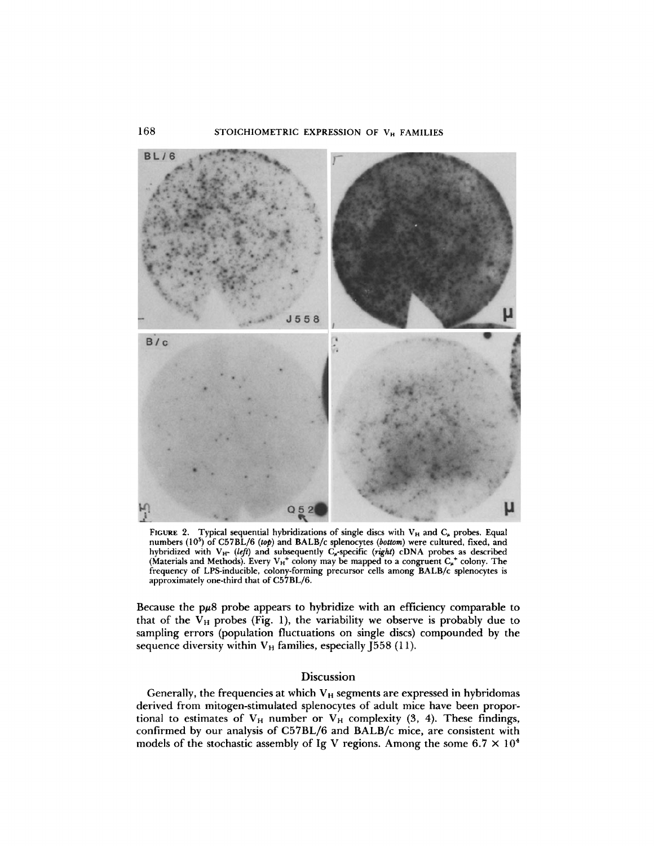

FIGURE 2. Typical sequential hybridizations of single discs with  $V_H$  and  $C_{\mu}$  probes. Equal numbers (10<sup>5</sup>) of C57BL/6 (top) and BALB/c splenocytes (bottom) were cultured, fixed, and numbers  $(10^5)$  of C57BL/6 (top) and BALB/c splenocytes (bottom) were cultured, fixed, and hybridized with  $V_{H^-}$  (left) and subsequently  $C_{\mu}$ -specific (right) cDNA probes as described (Materials and Methods). Every  $V_{H^+}$  colony may be mapped to a congruent  $C_{\mu}^+$  colony. The frequency of LPS-inducible, colony-forming precursor cells among BALB/c splenocytes is approximately one-third that of C57BL/6.

Because the  $p\mu8$  probe appears to hybridize with an efficiency comparable to that of the  $V_H$  probes (Fig. 1), the variability we observe is probably due to sampling errors (population fluctuations on single discs) compounded by the sequence diversity within  $V_H$  families, especially J558 (11).

#### **Discussion**

Generally, the frequencies at which  $V_H$  segments are expressed in hybridomas derived from mitogen-stimulated splenocytes of adult mice have been proportional to estimates of  $V_H$  number or  $V_H$  complexity (3, 4). These findings, confirmed by our analysis of C57BL/6 and BALB/c mice, are consistent with models of the stochastic assembly of Ig V regions. Among the some  $6.7 \times 10^4$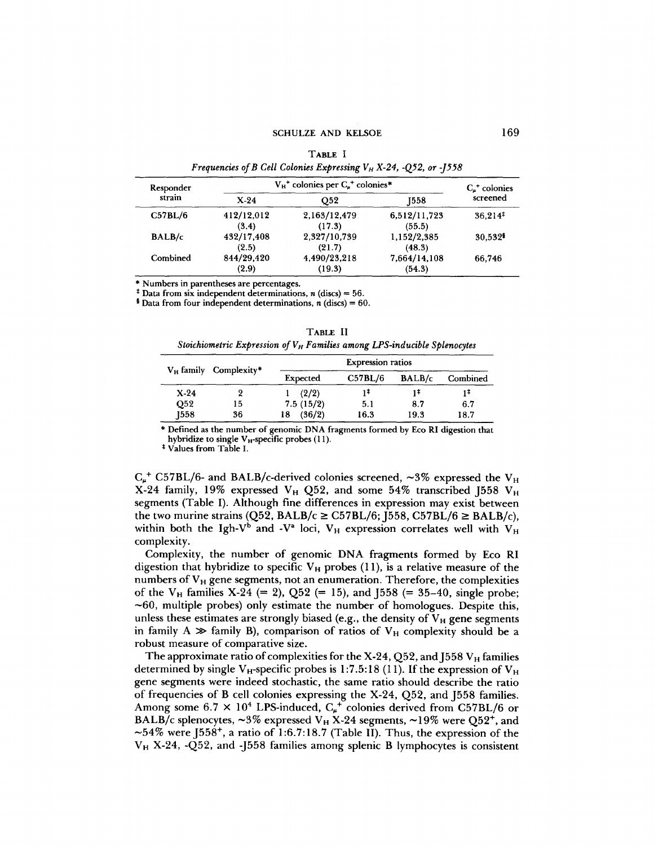| Responder<br>strain | $V_H^+$ colonies per $C_{\mu}^+$ colonies* | $C_{\mu}$ <sup>+</sup> colonies |              |                       |
|---------------------|--------------------------------------------|---------------------------------|--------------|-----------------------|
|                     | $X-24$                                     | Q52                             | <b>I558</b>  | screened              |
| C57BL/6             | 412/12,012                                 | 2,163/12,479                    | 6,512/11,723 | $36.214$ <sup>+</sup> |
|                     | (3.4)                                      | (17.3)                          | (55.5)       |                       |
| BALB/c              | 432/17,408                                 | 2,327/10,739                    | 1,152/2,385  | 30.532                |
|                     | (2.5)                                      | (21.7)                          | (48.3)       |                       |
| Combined            | 844/29.420                                 | 4,490/23,218                    | 7,664/14,108 | 66.746                |
|                     | (2.9)                                      | (19.3)                          | (54.3)       |                       |

TABLE <sup>I</sup> Frequencies of B Cell Colonies Expressing  $V_H$  X-24, -Q52, or -J558

\* Numbers in parentheses are percentages.

<sup> $\pm$ </sup> Data from six independent determinations, *n* (discs) = 56.

<sup>§</sup> Data from four independent determinations,  $n$  (discs) = 60.

| TABLE II |                                                                             |  |  |  |  |  |
|----------|-----------------------------------------------------------------------------|--|--|--|--|--|
|          | Stoichiometric Expression of $V_H$ Families among LPS-inducible Splenocytes |  |  |  |  |  |

|                 | $V_H$ family Complexity* | <b>Expression ratios</b> |         |        |          |
|-----------------|--------------------------|--------------------------|---------|--------|----------|
|                 |                          | Expected                 | C57BL/6 | BALB/c | Combined |
| $X-24$          |                          | (2/2)                    | 11      | 1Ŧ     |          |
| Q <sub>52</sub> | 15                       | 7.5(15/2)                | 5.1     | 8.7    | 6.7      |
| 1558            | 36                       | (36/2)<br>18.            | 16.3    | 19.3   | 18.7     |

\* Defined as the number of genomic DNA fragments formed by Eco RI digestion that hybridize to single  $V_H$ -specific probes (11).

<sup>#</sup> Values from Table I.

 $C_{\mu}^+$  C57BL/6- and BALB/c-derived colonies screened,  $\sim$ 3% expressed the V<sub>H</sub> X-24 family, 19% expressed  $V_H$  Q52, and some 54% transcribed J558  $V_H$ segments (Table I). Although fine differences in expression may exist between the two murine strains (Q52, BALB/c  $\geq$  C57BL/6; J558, C57BL/6  $\geq$  BALB/c), within both the Igh-V<sup>b</sup> and -V<sup>a</sup> loci, V<sub>H</sub> expression correlates well with V<sub>H</sub> complexity.

Complexity, the number of genomic DNA fragments formed by Eco RI digestion that hybridize to specific  $V_H$  probes (11), is a relative measure of the numbers of  $V_H$  gene segments, not an enumeration. Therefore, the complexities of the  $V_H$  families X-24 (= 2), Q52 (= 15), and J558 (= 35-40, single probe;  $\sim$ 60, multiple probes) only estimate the number of homologues. Despite this, unless these estimates are strongly biased (e.g., the density of  $V_H$  gene segments in family A  $\gg$  family B), comparison of ratios of  $V_H$  complexity should be a robust measure of comparative size .

The approximate ratio of complexities for the X-24, Q52, and J558  $V_H$  families determined by single V<sub>H</sub>-specific probes is 1:7.5:18 (11). If the expression of V<sub>H</sub> gene segments were indeed stochastic, the same ratio should describe the ratio of frequencies of B cell colonies expressing the X-24, Q52, and J558 families . Among some  $6.7 \times 10^4$  LPS-induced,  $C_{\mu}^+$  colonies derived from C57BL/6 or BALB/c splenocytes,  $\sim$ 3% expressed V<sub>H</sub> X-24 segments,  $\sim$ 19% were Q52<sup>+</sup>, and  $\sim$ 54% were J558<sup>+</sup>, a ratio of 1:6.7:18.7 (Table II). Thus, the expression of the  $V_H$  X-24, -Q52, and -J558 families among splenic B lymphocytes is consistent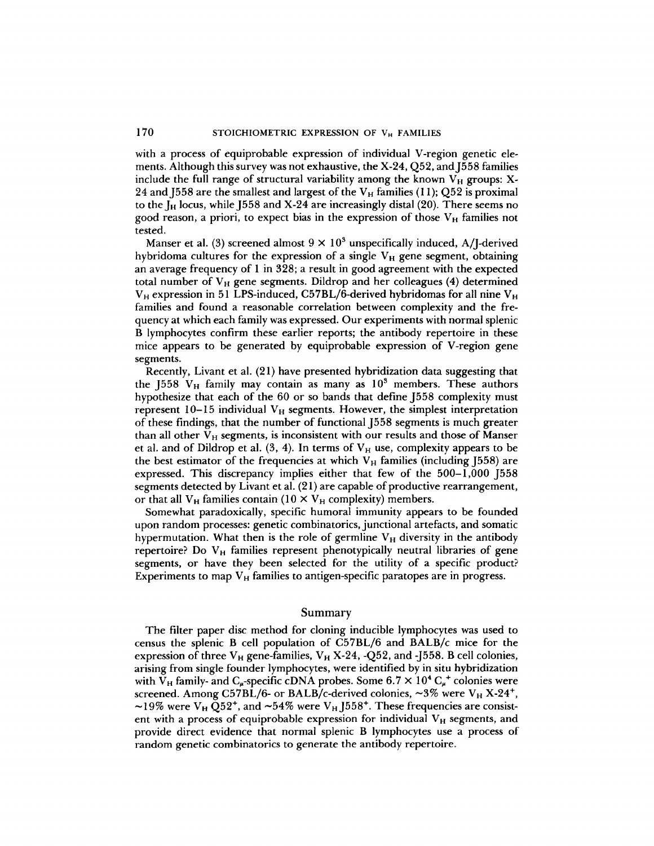## 170 STOICHIOMETRIC EXPRESSION OF V<sub>H</sub> FAMILIES

with a process of equiprobable expression of individual V-region genetic elements. Although this survey was not exhaustive, the  $X-24$ ,  $Q52$ , and J558 families include the full range of structural variability among the known  $V_H$  groups: X-24 and J558 are the smallest and largest of the  $V_H$  families (11); Q52 is proximal to the  $J_H$  locus, while J558 and X-24 are increasingly distal (20). There seems no good reason, a priori, to expect bias in the expression of those  $V_H$  families not tested.

Manser et al. (3) screened almost  $9 \times 10^3$  unspecifically induced, A/J-derived hybridoma cultures for the expression of a single  $V_H$  gene segment, obtaining an average frequency of <sup>1</sup> in 328 ; a result in good agreement with the expected total number of  $V_H$  gene segments. Dildrop and her colleagues (4) determined  $V_H$  expression in 51 LPS-induced, C57BL/6-derived hybridomas for all nine  $V_H$ families and found a reasonable correlation between complexity and the frequency at which each family was expressed. Our experiments with normal splenic B lymphocytes confirm these earlier reports; the antibody repertoire in these mice appears to be generated by equiprobable expression of V-region gene segments.

Recently, Livant et al. (21) have presented hybridization data suggesting that the J558  $V_H$  family may contain as many as  $10<sup>3</sup>$  members. These authors hypothesize that each of the 60 or so bands that define J558 complexity must represent  $10-15$  individual  $V_H$  segments. However, the simplest interpretation of these findings, that the number of functional J558 segments is much greater than all other  $V_H$  segments, is inconsistent with our results and those of Manser et al. and of Dildrop et al.  $(3, 4)$ . In terms of  $V_H$  use, complexity appears to be the best estimator of the frequencies at which  $V_H$  families (including J558) are expressed. This discrepancy implies either that few of the 500-1,000 J558 segments detected by Livant et al. (21) are capable of productive rearrangement, or that all  $V_H$  families contain (10  $\times$   $V_H$  complexity) members.

Somewhat paradoxically, specific humoral immunity appears to be founded upon random processes: genetic combinatorics, junctional artefacts, and somatic hypermutation. What then is the role of germline  $V_H$  diversity in the antibody repertoire? Do  $V_H$  families represent phenotypically neutral libraries of gene segments, or have they been selected for the utility of a specific product? Experiments to map  $V_H$  families to antigen-specific paratopes are in progress.

#### Summary

The filter paper disc method for cloning inducible lymphocytes was used to census the splenic B cell population of C57BL/6 and BALB/c mice for the expression of three  $V_H$  gene-families,  $V_H$  X-24, -Q52, and -J558. B cell colonies, arising from single founder lymphocytes, were identified by in situ hybridization with V<sub>H</sub> family- and C<sub>µ</sub>-specific cDNA probes. Some 6.7  $\times$  10<sup>4</sup> C<sub>µ</sub><sup>+</sup> colonies were screened. Among C57BL/6- or BALB/c-derived colonies,  $\sim 3\%$  were V<sub>H</sub> X-24<sup>+</sup>,  $\sim$ 19% were V<sub>H</sub> Q52<sup>+</sup>, and  $\sim$ 54% were V<sub>H</sub> J558<sup>+</sup>. These frequencies are consistent with a process of equiprobable expression for individual  $V_H$  segments, and provide direct evidence that normal splenic B lymphocytes use <sup>a</sup> process of random genetic combinatorics to generate the antibody repertoire.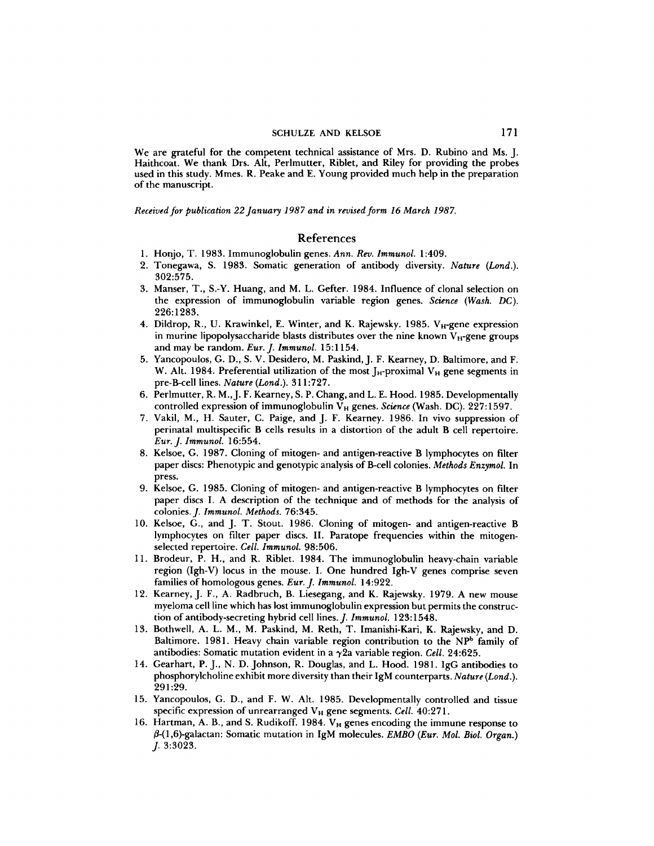#### SCHULZE AND KELSOE 171

We are grateful for the competent technical assistance of Mrs. D. Rubino and Ms. J. Haithcoat . We thank Drs. Alt, Perlmutter, Riblet, and Riley for providing the probes used in this study. Mmes. R. Peake and E. Young provided much help in the preparation of the manuscript.

Received for publication 22 January 1987 and in revised form 16 March 1987.

#### References

- 1. Honjo, T. 1983. Immunoglobulin genes. Ann. Rev. Immunol. 1:409.
- 2. Tonegawa, S. 1983. Somatic generation of antibody diversity. Nature (Lond.). 302 :575.
- 3. Manser, T., S.-Y . Huang, and M. L. Gefter . 1984. Influence of clonal selection on the expression of immunoglobulin variable region genes. Science (Wash. DC). 226:1283 .
- 4. Dildrop, R., U. Krawinkel, E. Winter, and K. Rajewsky. 1985.  $V_H$ -gene expression in murine lipopolysaccharide blasts distributes over the nine known  $V_H$ -gene groups and may be random. Eur. J. Immunol. 15:1154.
- 5. Yancopoulos, G. D., S. V. Desidero, M. Paskind, J. F. Kearney, D. Baltimore, and F. W. Alt. 1984. Preferential utilization of the most  $J_H$ -proximal  $V_H$  gene segments in pre-B-cell lines. Nature (Lond.). 311:727.
- 6. Perlmutter, R. M ., J. F. Kearney, S. P. Chang, and L. E. Hood. 1985. Developmentally controlled expression of immunoglobulin  $V_H$  genes. Science (Wash. DC). 227:1597.
- 7. Vakil, M., H. Sauter, C. Paige, and J. F. Kearney. 1986. In vivo suppression of perinatal multispecific B cells results in <sup>a</sup> distortion of the adult B cell repertoire. Eur. J. Immunol. 16:554 .
- 8. Kelsoe, G. 1987. Cloning of mitogen- and antigen-reactive B lymphocytes on filter paper discs: Phenotypic and genotypic analysis of B-cell colonies. Methods Enzymol. In press.
- 9. Kelsoe, G. 1985. Cloning of mitogen- and antigen-reactive B lymphocytes on filter paper discs I. A description of the technique and of methods for the analysis of colonies. J. Immunol. Methods. 76:345.
- 10. Kelsoe, G., and J. T. Stout. 1986. Cloning of mitogen- and antigen-reactive B lymphocytes on filter paper discs. II. Paratope frequencies within the mitogenselected repertoire. Cell. Immunol. 98:506.
- <sup>11</sup> . Brodeur, P. H., and R. Riblet. 1984. The immunoglobulin heavy-chain variable region (Igh-V) locus in the mouse. I. One hundred Igh-V genes comprise seven families of homologous genes. Eur. J. Immunol. 14:922.
- 12. Kearney, J. F., A. Radbruch, B. Liesegang, and K. Rajewsky. 1979. A new mouse myeloma cell line which has lost immunoglobulin expression but permits the construction of antibody-secreting hybrid cell lines. J. Immunol. 123:1548.
- 13. Bothwell, A. L. M., M. Paskind, M. Reth, T. Imanishi-Kari, K. Rajewsky, and D. Baltimore. 1981. Heavy chain variable region contribution to the NP<sup>b</sup> family of antibodies: Somatic mutation evident in a  $\gamma$ 2a variable region. Cell. 24:625.
- 14. Gearhart, P. J., N. D. Johnson, R. Douglas, and L. Hood. 1981 . IgG antibodies to phosphorylcholine exhibit more diversity than their IgM counterparts. Nature (Lond.). 291 :29.
- 15. Yancopoulos, G. D., and F. W. Alt. 1985. Developmentally controlled and tissue specific expression of unrearranged  $V_H$  gene segments. Cell. 40:271.
- 16. Hartman, A. B., and S. Rudikoff. 1984.  $V_H$  genes encoding the immune response to  $\beta$ -(1,6)-galactan: Somatic mutation in IgM molecules. EMBO (Eur. Mol. Biol. Organ.) J. 3:3023 .